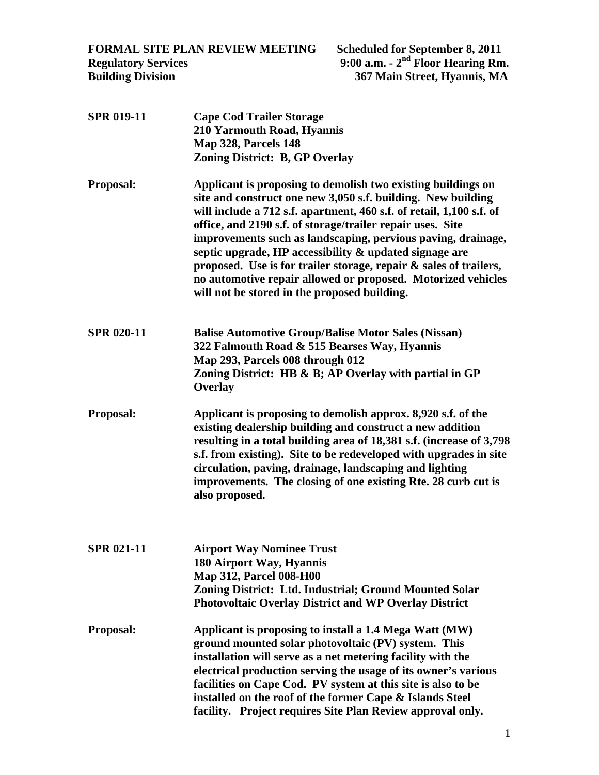**FORMAL SITE PLAN REVIEW MEETING Scheduled for September 8, 2011 Regulatory Services 9:00 a.m. - 2nd Floor Hearing Rm. Building Division 367 Main Street, Hyannis, MA** 

**SPR 019-11 Cape Cod Trailer Storage 210 Yarmouth Road, Hyannis Map 328, Parcels 148 Zoning District: B, GP Overlay Proposal: Applicant is proposing to demolish two existing buildings on site and construct one new 3,050 s.f. building. New building will include a 712 s.f. apartment, 460 s.f. of retail, 1,100 s.f. of office, and 2190 s.f. of storage/trailer repair uses. Site improvements such as landscaping, pervious paving, drainage, septic upgrade, HP accessibility & updated signage are proposed. Use is for trailer storage, repair & sales of trailers, no automotive repair allowed or proposed. Motorized vehicles will not be stored in the proposed building. SPR 020-11 Balise Automotive Group/Balise Motor Sales (Nissan) 322 Falmouth Road & 515 Bearses Way, Hyannis Map 293, Parcels 008 through 012 Zoning District: HB & B; AP Overlay with partial in GP Overlay Proposal: Applicant is proposing to demolish approx. 8,920 s.f. of the existing dealership building and construct a new addition resulting in a total building area of 18,381 s.f. (increase of 3,798 s.f. from existing). Site to be redeveloped with upgrades in site circulation, paving, drainage, landscaping and lighting improvements. The closing of one existing Rte. 28 curb cut is also proposed. SPR 021-11 Airport Way Nominee Trust 180 Airport Way, Hyannis Map 312, Parcel 008-H00 Zoning District: Ltd. Industrial; Ground Mounted Solar Photovoltaic Overlay District and WP Overlay District Proposal: Applicant is proposing to install a 1.4 Mega Watt (MW) ground mounted solar photovoltaic (PV) system. This installation will serve as a net metering facility with the electrical production serving the usage of its owner's various facilities on Cape Cod. PV system at this site is also to be installed on the roof of the former Cape & Islands Steel facility. Project requires Site Plan Review approval only.**